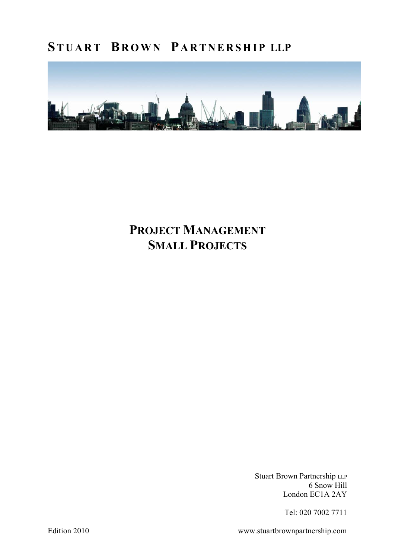

### PROJECT MANAGEMENT SMALL PROJECTS

Stuart Brown Partnership LLP 6 Snow Hill London EC1A 2AY

Tel: 020 7002 7711

Edition 2010 www.stuartbrownpartnership.com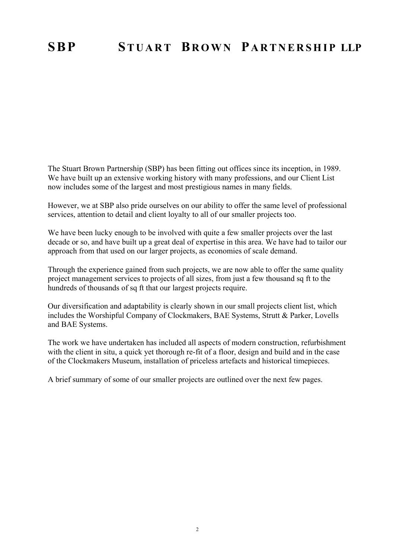The Stuart Brown Partnership (SBP) has been fitting out offices since its inception, in 1989. We have built up an extensive working history with many professions, and our Client List now includes some of the largest and most prestigious names in many fields.

However, we at SBP also pride ourselves on our ability to offer the same level of professional services, attention to detail and client loyalty to all of our smaller projects too.

We have been lucky enough to be involved with quite a few smaller projects over the last decade or so, and have built up a great deal of expertise in this area. We have had to tailor our approach from that used on our larger projects, as economies of scale demand.

Through the experience gained from such projects, we are now able to offer the same quality project management services to projects of all sizes, from just a few thousand sq ft to the hundreds of thousands of sq ft that our largest projects require.

Our diversification and adaptability is clearly shown in our small projects client list, which includes the Worshipful Company of Clockmakers, BAE Systems, Strutt & Parker, Lovells and BAE Systems.

The work we have undertaken has included all aspects of modern construction, refurbishment with the client in situ, a quick yet thorough re-fit of a floor, design and build and in the case of the Clockmakers Museum, installation of priceless artefacts and historical timepieces.

A brief summary of some of our smaller projects are outlined over the next few pages.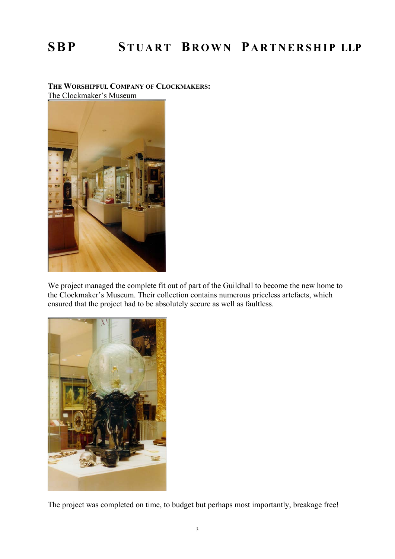#### THE WORSHIPFUL COMPANY OF CLOCKMAKERS: The Clockmaker's Museum



We project managed the complete fit out of part of the Guildhall to become the new home to the Clockmaker's Museum. Their collection contains numerous priceless artefacts, which ensured that the project had to be absolutely secure as well as faultless.



The project was completed on time, to budget but perhaps most importantly, breakage free!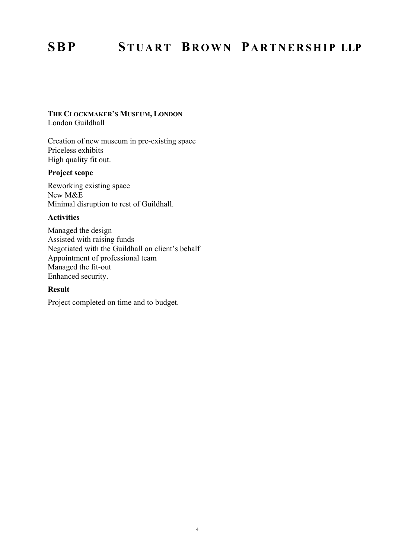#### THE CLOCKMAKER'S MUSEUM, LONDON London Guildhall

Creation of new museum in pre-existing space Priceless exhibits High quality fit out.

### Project scope

Reworking existing space New M&E Minimal disruption to rest of Guildhall.

#### Activities

Managed the design Assisted with raising funds Negotiated with the Guildhall on client's behalf Appointment of professional team Managed the fit-out Enhanced security.

#### Result

Project completed on time and to budget.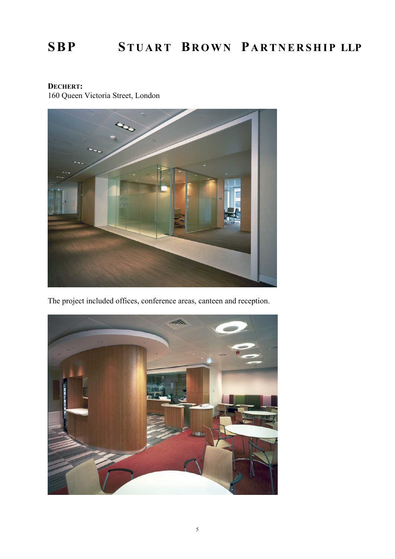### DECHERT: 160 Queen Victoria Street, London



The project included offices, conference areas, canteen and reception.

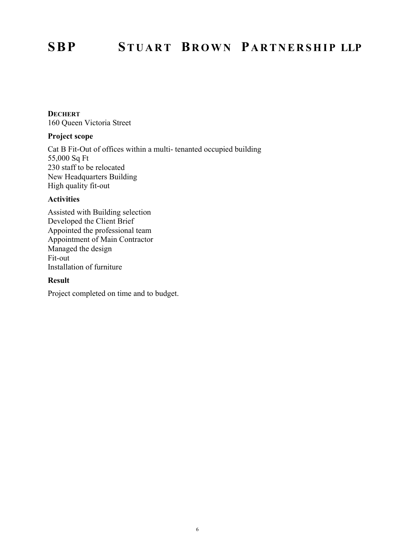#### **DECHERT** 160 Queen Victoria Street

#### Project scope

Cat B Fit-Out of offices within a multi- tenanted occupied building 55,000 Sq Ft 230 staff to be relocated New Headquarters Building High quality fit-out

#### Activities

Assisted with Building selection Developed the Client Brief Appointed the professional team Appointment of Main Contractor Managed the design Fit-out Installation of furniture

#### Result

Project completed on time and to budget.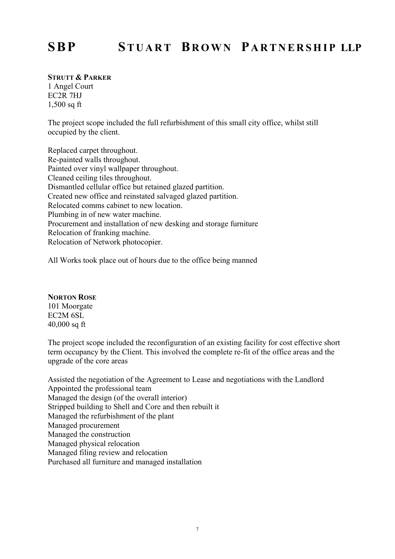#### STRUTT & PARKER

1 Angel Court EC2R 7HJ 1,500 sq ft

The project scope included the full refurbishment of this small city office, whilst still occupied by the client.

Replaced carpet throughout. Re-painted walls throughout. Painted over vinyl wallpaper throughout. Cleaned ceiling tiles throughout. Dismantled cellular office but retained glazed partition. Created new office and reinstated salvaged glazed partition. Relocated comms cabinet to new location. Plumbing in of new water machine. Procurement and installation of new desking and storage furniture Relocation of franking machine. Relocation of Network photocopier.

All Works took place out of hours due to the office being manned

#### NORTON ROSE

101 Moorgate EC2M 6SL 40,000 sq ft

The project scope included the reconfiguration of an existing facility for cost effective short term occupancy by the Client. This involved the complete re-fit of the office areas and the upgrade of the core areas

Assisted the negotiation of the Agreement to Lease and negotiations with the Landlord Appointed the professional team Managed the design (of the overall interior) Stripped building to Shell and Core and then rebuilt it Managed the refurbishment of the plant Managed procurement Managed the construction Managed physical relocation Managed filing review and relocation Purchased all furniture and managed installation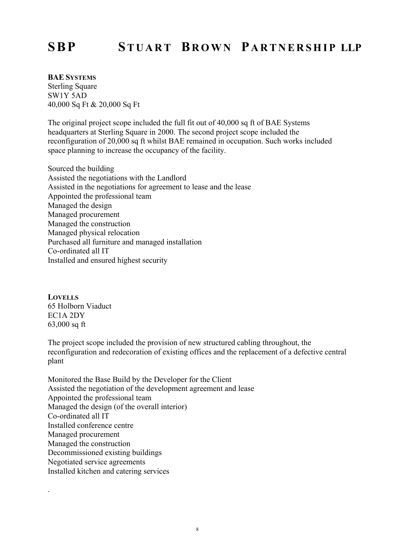#### BAE SYSTEMS

Sterling Square SW1Y 5AD 40,000 Sq Ft & 20,000 Sq Ft

The original project scope included the full fit out of 40,000 sq ft of BAE Systems headquarters at Sterling Square in 2000. The second project scope included the reconfiguration of 20,000 sq ft whilst BAE remained in occupation. Such works included space planning to increase the occupancy of the facility.

Sourced the building Assisted the negotiations with the Landlord Assisted in the negotiations for agreement to lease and the lease Appointed the professional team Managed the design Managed procurement Managed the construction Managed physical relocation Purchased all furniture and managed installation Co-ordinated all IT Installed and ensured highest security

**LOVELLS** 65 Holborn Viaduct EC1A 2DY 63,000 sq ft

.

The project scope included the provision of new structured cabling throughout, the reconfiguration and redecoration of existing offices and the replacement of a defective central plant

Monitored the Base Build by the Developer for the Client Assisted the negotiation of the development agreement and lease Appointed the professional team Managed the design (of the overall interior) Co-ordinated all IT Installed conference centre Managed procurement Managed the construction Decommissioned existing buildings Negotiated service agreements Installed kitchen and catering services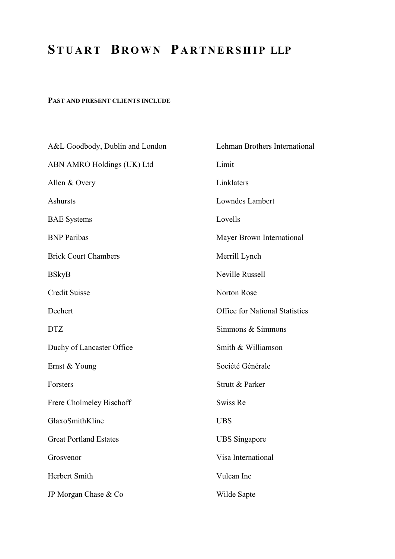#### PAST AND PRESENT CLIENTS INCLUDE

| A&L Goodbody, Dublin and London | Lehman Brothers International         |
|---------------------------------|---------------------------------------|
| ABN AMRO Holdings (UK) Ltd      | Limit                                 |
| Allen & Overy                   | Linklaters                            |
| Ashursts                        | Lowndes Lambert                       |
| <b>BAE</b> Systems              | Lovells                               |
| <b>BNP</b> Paribas              | Mayer Brown International             |
| <b>Brick Court Chambers</b>     | Merrill Lynch                         |
| <b>BSkyB</b>                    | Neville Russell                       |
| <b>Credit Suisse</b>            | Norton Rose                           |
| Dechert                         | <b>Office for National Statistics</b> |
| <b>DTZ</b>                      | Simmons & Simmons                     |
| Duchy of Lancaster Office       | Smith & Williamson                    |
| Ernst & Young                   | Société Générale                      |
| Forsters                        | Strutt & Parker                       |
| Frere Cholmeley Bischoff        | Swiss Re                              |
| GlaxoSmithKline                 | <b>UBS</b>                            |
| <b>Great Portland Estates</b>   | <b>UBS</b> Singapore                  |
| Grosvenor                       | Visa International                    |
| Herbert Smith                   | Vulcan Inc                            |
| JP Morgan Chase & Co            | Wilde Sapte                           |